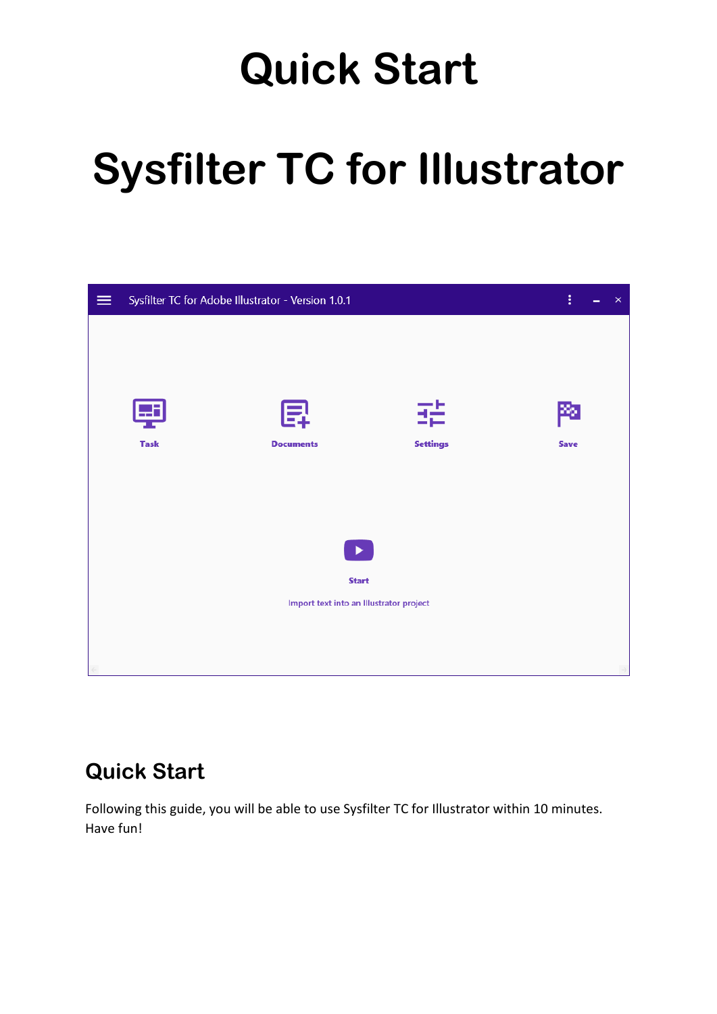# **Sysfilter TC for Illustrator**

| ≡                                       | Sysfilter TC for Adobe Illustrator - Version 1.0.1 |                  |                 | ŧ<br>$\times$ |
|-----------------------------------------|----------------------------------------------------|------------------|-----------------|---------------|
|                                         |                                                    |                  |                 |               |
|                                         |                                                    |                  |                 |               |
|                                         |                                                    |                  |                 |               |
|                                         | ᅜ                                                  | 巪                | --<br>₫È        | 29            |
|                                         | <b>Task</b>                                        | <b>Documents</b> | <b>Settings</b> | <b>Save</b>   |
|                                         |                                                    |                  |                 |               |
|                                         |                                                    |                  |                 |               |
|                                         |                                                    |                  |                 |               |
| $\blacktriangleright$                   |                                                    |                  |                 |               |
| <b>Start</b>                            |                                                    |                  |                 |               |
| Import text into an Illustrator project |                                                    |                  |                 |               |
|                                         |                                                    |                  |                 |               |
|                                         |                                                    |                  |                 |               |

### **Quick Start**

Following this guide, you will be able to use Sysfilter TC for Illustrator within 10 minutes. Have fun!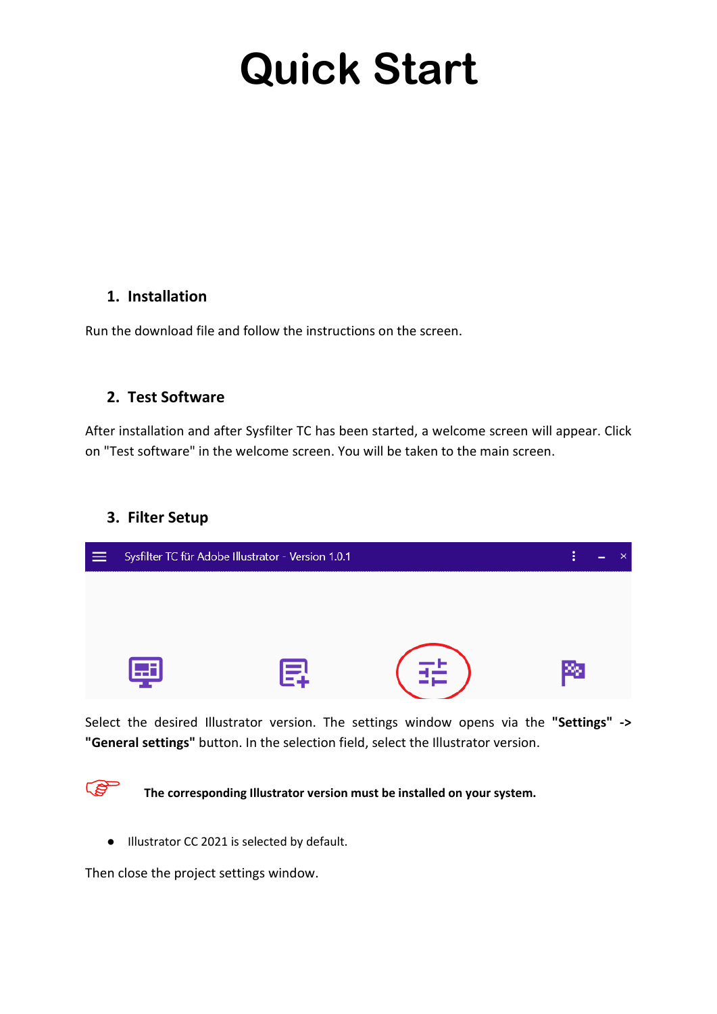#### **1. Installation**

Run the download file and follow the instructions on the screen.

#### **2. Test Software**

After installation and after Sysfilter TC has been started, a welcome screen will appear. Click on "Test software" in the welcome screen. You will be taken to the main screen.

#### **3. Filter Setup**



Select the desired Illustrator version. The settings window opens via the **"Settings" -> "General settings"** button. In the selection field, select the Illustrator version.

The corresponding Illustrator version must be installed on your system.

● Illustrator CC 2021 is selected by default.

Then close the project settings window.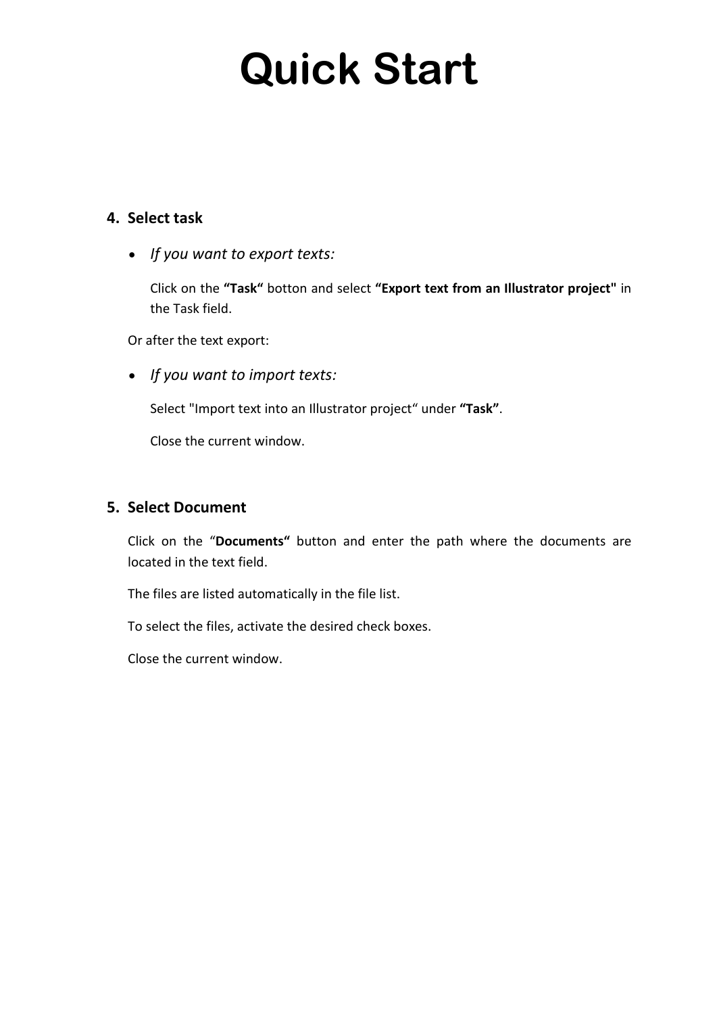#### **4. Select task**

• *If you want to export texts:*

Click on the **"Task"** botton and select **"Export text from an Illustrator project"** in the Task field.

Or after the text export:

• *If you want to import texts:*

Select "Import text into an Illustrator project" under **"Task"**.

Close the current window.

#### **5. Select Document**

Click on the "**Documents"** button and enter the path where the documents are located in the text field.

The files are listed automatically in the file list.

To select the files, activate the desired check boxes.

Close the current window.